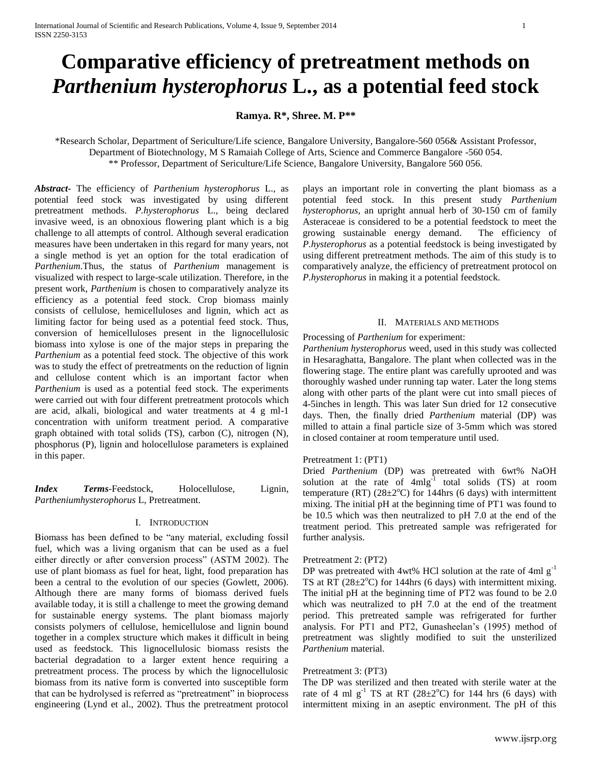# **Comparative efficiency of pretreatment methods on**  *Parthenium hysterophorus* **L., as a potential feed stock**

**Ramya. R\*, Shree. M. P\*\***

\*Research Scholar, Department of Sericulture/Life science, Bangalore University, Bangalore-560 056& Assistant Professor, Department of Biotechnology, M S Ramaiah College of Arts, Science and Commerce Bangalore -560 054. \*\* Professor, Department of Sericulture/Life Science, Bangalore University, Bangalore 560 056.

*Abstract***-** The efficiency of *Parthenium hysterophorus* L., as potential feed stock was investigated by using different pretreatment methods. *P.hysterophorus* L., being declared invasive weed, is an obnoxious flowering plant which is a big challenge to all attempts of control. Although several eradication measures have been undertaken in this regard for many years, not a single method is yet an option for the total eradication of *Parthenium.*Thus, the status of *Parthenium* management is visualized with respect to large-scale utilization. Therefore, in the present work, *Parthenium* is chosen to comparatively analyze its efficiency as a potential feed stock. Crop biomass mainly consists of cellulose, hemicelluloses and lignin, which act as limiting factor for being used as a potential feed stock. Thus, conversion of hemicelluloses present in the lignocellulosic biomass into xylose is one of the major steps in preparing the *Parthenium* as a potential feed stock. The objective of this work was to study the effect of pretreatments on the reduction of lignin and cellulose content which is an important factor when *Parthenium* is used as a potential feed stock. The experiments were carried out with four different pretreatment protocols which are acid, alkali, biological and water treatments at 4 g ml-1 concentration with uniform treatment period. A comparative graph obtained with total solids (TS), carbon (C), nitrogen (N), phosphorus (P), lignin and holocellulose parameters is explained in this paper.

*Index Terms*-Feedstock, Holocellulose, Lignin, *Partheniumhysterophorus* L, Pretreatment.

## I. INTRODUCTION

Biomass has been defined to be "any material, excluding fossil fuel, which was a living organism that can be used as a fuel either directly or after conversion process" (ASTM 2002). The use of plant biomass as fuel for heat, light, food preparation has been a central to the evolution of our species (Gowlett, 2006). Although there are many forms of biomass derived fuels available today, it is still a challenge to meet the growing demand for sustainable energy systems. The plant biomass majorly consists polymers of cellulose, hemicellulose and lignin bound together in a complex structure which makes it difficult in being used as feedstock. This lignocellulosic biomass resists the bacterial degradation to a larger extent hence requiring a pretreatment process. The process by which the lignocellulosic biomass from its native form is converted into susceptible form that can be hydrolysed is referred as "pretreatment" in bioprocess engineering (Lynd et al., 2002). Thus the pretreatment protocol

plays an important role in converting the plant biomass as a potential feed stock. In this present study *Parthenium hysterophorus,* an upright annual herb of 30-150 cm of family Asteraceae is considered to be a potential feedstock to meet the growing sustainable energy demand. The efficiency of *P.hysterophorus* as a potential feedstock is being investigated by using different pretreatment methods. The aim of this study is to comparatively analyze, the efficiency of pretreatment protocol on *P.hysterophorus* in making it a potential feedstock.

## II. MATERIALS AND METHODS

Processing of *Parthenium* for experiment:

*Parthenium hysterophorus* weed, used in this study was collected in Hesaraghatta, Bangalore. The plant when collected was in the flowering stage. The entire plant was carefully uprooted and was thoroughly washed under running tap water. Later the long stems along with other parts of the plant were cut into small pieces of 4-5inches in length. This was later Sun dried for 12 consecutive days. Then, the finally dried *Parthenium* material (DP) was milled to attain a final particle size of 3-5mm which was stored in closed container at room temperature until used.

## Pretreatment 1: (PT1)

Dried *Parthenium* (DP) was pretreated with 6wt% NaOH solution at the rate of  $4mlg<sup>1</sup>$  total solids (TS) at room temperature (RT)  $(28\pm2^{\circ}\text{C})$  for 144hrs (6 days) with intermittent mixing. The initial pH at the beginning time of PT1 was found to be 10.5 which was then neutralized to pH 7.0 at the end of the treatment period. This pretreated sample was refrigerated for further analysis.

## Pretreatment 2: (PT2)

DP was pretreated with 4wt% HCl solution at the rate of 4ml  $g^{-1}$ TS at RT  $(28\pm2\degree C)$  for 144hrs (6 days) with intermittent mixing. The initial pH at the beginning time of PT2 was found to be 2.0 which was neutralized to pH 7.0 at the end of the treatment period. This pretreated sample was refrigerated for further analysis. For PT1 and PT2, Gunasheelan's (1995) method of pretreatment was slightly modified to suit the unsterilized *Parthenium* material.

## Pretreatment 3: (PT3)

The DP was sterilized and then treated with sterile water at the rate of 4 ml  $g^{-1}$  TS at RT (28 $\pm$ 2<sup>o</sup>C) for 144 hrs (6 days) with intermittent mixing in an aseptic environment. The pH of this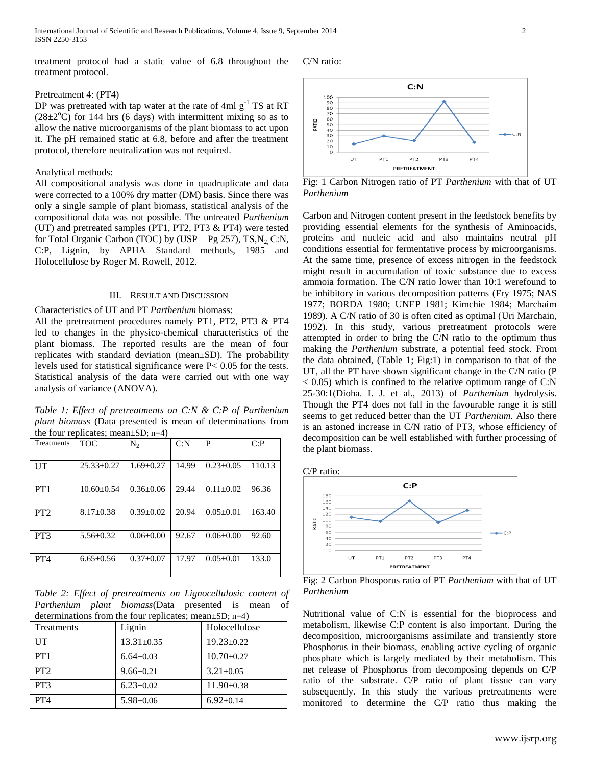treatment protocol had a static value of 6.8 throughout the treatment protocol.

## Pretreatment 4: (PT4)

DP was pretreated with tap water at the rate of 4ml  $g^{-1}$  TS at RT  $(28\pm2\degree C)$  for 144 hrs (6 days) with intermittent mixing so as to allow the native microorganisms of the plant biomass to act upon it. The pH remained static at 6.8, before and after the treatment protocol, therefore neutralization was not required.

#### Analytical methods:

All compositional analysis was done in quadruplicate and data were corrected to a 100% dry matter (DM) basis. Since there was only a single sample of plant biomass, statistical analysis of the compositional data was not possible. The untreated *Parthenium* (UT) and pretreated samples (PT1, PT2, PT3 & PT4) were tested for Total Organic Carbon (TOC) by (USP – Pg 257), TS,  $N_2$  C:N, C:P, Lignin, by APHA Standard methods, 1985 and Holocellulose by Roger M. Rowell, 2012.

#### III. RESULT AND DISCUSSION

Characteristics of UT and PT *Parthenium* biomass: All the pretreatment procedures namely PT1, PT2, PT3 & PT4 led to changes in the physico-chemical characteristics of the plant biomass. The reported results are the mean of four replicates with standard deviation (mean±SD). The probability levels used for statistical significance were P< 0.05 for the tests. Statistical analysis of the data were carried out with one way analysis of variance (ANOVA).

*Table 1: Effect of pretreatments on C:N & C:P of Parthenium plant biomass* (Data presented is mean of determinations from the four replicates; mean±SD; n=4)

| Treatments      | <b>TOC</b>      | $N_{2}$         | C: N  | P               | C: P   |
|-----------------|-----------------|-----------------|-------|-----------------|--------|
|                 |                 |                 |       |                 |        |
| UT              | $25.33+0.27$    | $1.69 + 0.27$   | 14.99 | $0.23 \pm 0.05$ | 110.13 |
|                 |                 |                 |       |                 |        |
| PT1             | $10.60 + 0.54$  | $0.36 + 0.06$   | 29.44 | $0.11 + 0.02$   | 96.36  |
|                 |                 |                 |       |                 |        |
| PT2             | $8.17 + 0.38$   | $0.39 + 0.02$   | 20.94 | $0.05 + 0.01$   | 163.40 |
|                 |                 |                 |       |                 |        |
| PT <sub>3</sub> | $5.56 \pm 0.32$ | $0.06 \pm 0.00$ | 92.67 | $0.06 + 0.00$   | 92.60  |
|                 |                 |                 |       |                 |        |
| PT <sub>4</sub> | $6.65 + 0.56$   | $0.37+0.07$     | 17.97 | $0.05 + 0.01$   | 133.0  |
|                 |                 |                 |       |                 |        |

*Table 2: Effect of pretreatments on Lignocellulosic content of Parthenium plant biomass*(Data presented is mean of determinations from the four replicates; mean+SD;  $n=4$ )

| Treatments      | Lignin           | Holocellulose    |
|-----------------|------------------|------------------|
| UT              | $13.31 \pm 0.35$ | $19.23 \pm 0.22$ |
| PT1             | $6.64 \pm 0.03$  | $10.70 \pm 0.27$ |
| PT2             | $9.66 \pm 0.21$  | $3.21 \pm 0.05$  |
| PT3             | $6.23 \pm 0.02$  | $11.90 \pm 0.38$ |
| PT <sub>4</sub> | $5.98 \pm 0.06$  | $6.92 \pm 0.14$  |





Fig: 1 Carbon Nitrogen ratio of PT *Parthenium* with that of UT *Parthenium*

Carbon and Nitrogen content present in the feedstock benefits by providing essential elements for the synthesis of Aminoacids, proteins and nucleic acid and also maintains neutral pH conditions essential for fermentative process by microorganisms. At the same time, presence of excess nitrogen in the feedstock might result in accumulation of toxic substance due to excess ammoia formation. The C/N ratio lower than 10:1 werefound to be inhibitory in various decomposition patterns (Fry 1975; NAS 1977; BORDA 1980; UNEP 1981; Kimchie 1984; Marchaim 1989). A C/N ratio of 30 is often cited as optimal (Uri Marchain, 1992). In this study, various pretreatment protocols were attempted in order to bring the C/N ratio to the optimum thus making the *Parthenium* substrate, a potential feed stock. From the data obtained, (Table 1; Fig:1) in comparison to that of the UT, all the PT have shown significant change in the C/N ratio (P  $< 0.05$ ) which is confined to the relative optimum range of C:N 25-30:1(Dioha. I. J. et al., 2013) of *Parthenium* hydrolysis. Though the PT4 does not fall in the favourable range it is still seems to get reduced better than the UT *Parthenium*. Also there is an astoned increase in C/N ratio of PT3, whose efficiency of decomposition can be well established with further processing of the plant biomass.





Fig: 2 Carbon Phosporus ratio of PT *Parthenium* with that of UT *Parthenium*

Nutritional value of C:N is essential for the bioprocess and metabolism, likewise C:P content is also important. During the decomposition, microorganisms assimilate and transiently store Phosphorus in their biomass, enabling active cycling of organic phosphate which is largely mediated by their metabolism. This net release of Phosphorus from decomposing depends on C/P ratio of the substrate. C/P ratio of plant tissue can vary subsequently. In this study the various pretreatments were monitored to determine the C/P ratio thus making the